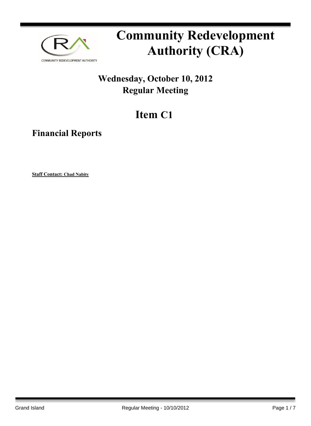

# **Community Redevelopment Authority (CRA)**

### **Wednesday, October 10, 2012 Regular Meeting**

## **Item C1**

**Financial Reports**

**Staff Contact: Chad Nabity**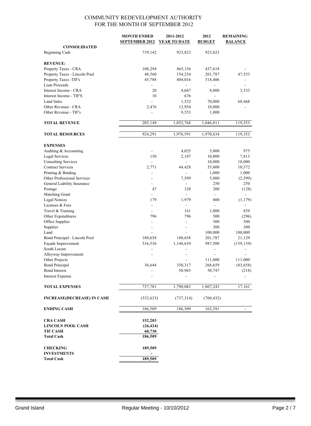|                                         | <b>MONTH ENDED</b>       | 2011-2012           | 2012                     | <b>REMAINING</b>         |
|-----------------------------------------|--------------------------|---------------------|--------------------------|--------------------------|
|                                         | <b>SEPTEMBER 2012</b>    | <b>YEAR TO DATE</b> | <b>BUDGET</b>            | <b>BALANCE</b>           |
| <b>CONSOLIDATED</b><br>Beginning Cash   | 719,142                  | 923,823             | 923,823                  |                          |
|                                         |                          |                     |                          |                          |
| <b>REVENUE:</b>                         |                          |                     |                          |                          |
| Property Taxes - CRA                    | 108,294                  | 465,136             | 437,618                  |                          |
| Property Taxes - Lincoln Pool           | 48,560                   | 154,234             | 201,787                  | 47,553                   |
| Property Taxes -TIF's                   | 45,788                   | 404,016             | 318,406                  |                          |
| Loan Proceeds                           |                          |                     |                          |                          |
| Interest Income - CRA                   | 20                       | 4,667               | 8,000                    | 3,333                    |
| Interest Income - TIF'S                 | 10                       | 676                 |                          |                          |
| <b>Land Sales</b>                       | $\overline{a}$           | 1,532               | 70,000                   | 68,468                   |
| Other Revenue - CRA                     | 2,476                    | 12,954              | 10,000                   |                          |
| Other Revenue - TIF's                   |                          | 9,553               | 1,000                    |                          |
| <b>TOTAL REVENUE</b>                    | 205,149                  | 1,052,768           | 1,046,811                | 119,353                  |
|                                         |                          |                     |                          |                          |
| <b>TOTAL RESOURCES</b>                  | 924,291                  | 1,976,591           | 1,970,634                | 119,353                  |
| <b>EXPENSES</b>                         |                          |                     |                          |                          |
| Auditing & Accounting                   | L,                       | 4,025               | 5,000                    | 975                      |
| Legal Services                          | 150                      | 2,187               | 10,000                   | 7,813                    |
| <b>Consulting Services</b>              | $\overline{a}$           | $\overline{a}$      | 10,000                   | 10,000                   |
| <b>Contract Services</b>                | 2,771                    | 44,428              | 55,000                   | 10,572                   |
| Printing & Binding                      |                          |                     | 1,000                    | 1,000                    |
| Other Professional Services             | L,                       | 7,599               | 5,000                    | (2, 599)                 |
| General Liability Insurance             | L,                       | ٠                   | 250                      | 250                      |
| Postage                                 | 47                       | 328                 | 200                      | (128)                    |
| Matching Grant                          |                          |                     | $\overline{\phantom{a}}$ |                          |
| <b>Legal Notices</b>                    | 179                      | 1,979               | 800                      | (1, 179)                 |
| Licenses & Fees                         | $\overline{\phantom{a}}$ | ä,                  | ÷,                       |                          |
| Travel & Training                       | $\overline{a}$           | 161                 | 1,000                    | 839                      |
| Other Expenditures                      | 796                      | 796                 | 500                      | (296)                    |
| Office Supplies                         | $\overline{\phantom{a}}$ | ä,                  | 500                      | 500                      |
| Supplies                                | L,                       | ÷.                  | 300                      | 300                      |
| Land                                    | $\overline{a}$           | ä,                  | 100,000                  | 100,000                  |
| Bond Principal - Lincoln Pool           | 180,658                  | 180,658             | 201,787                  | 21,129                   |
| Façade Improvement                      | 516,536                  | 1,146,639           | 987,500                  | (159, 139)               |
| South Locust                            |                          |                     |                          |                          |
| Alleyway Improvement                    | L,                       |                     |                          |                          |
| Other Projects                          |                          |                     | 111,000                  | 111,000                  |
| <b>Bond Principal</b>                   | 36,644                   | 350,317             | 266,659                  | (83, 658)                |
| <b>Bond Interest</b>                    |                          | 50,965              | 50,747                   | (218)                    |
| <b>Interest Expense</b>                 |                          |                     |                          |                          |
| <b>TOTAL EXPENSES</b>                   | 737,781                  | 1,790,082           | 1,807,243                | 17,161                   |
|                                         |                          |                     |                          |                          |
| <b>INCREASE(DECREASE) IN CASH</b>       | (532, 633)               | (737, 314)          | (760, 432)               |                          |
| <b>ENDING CASH</b>                      | 186,509                  | 186,509             | 163,391                  | $\overline{\phantom{a}}$ |
| <b>CRA CASH</b>                         | 152,203                  |                     |                          |                          |
| <b>LINCOLN POOL CASH</b>                | (26, 424)                |                     |                          |                          |
| <b>TIF CASH</b>                         | 60,730                   |                     |                          |                          |
| <b>Total Cash</b>                       | 186,509                  |                     |                          |                          |
|                                         |                          |                     |                          |                          |
| <b>CHECKING</b>                         | 189,509                  |                     |                          |                          |
| <b>INVESTMENTS</b><br><b>Total Cash</b> | 189,509                  |                     |                          |                          |
|                                         |                          |                     |                          |                          |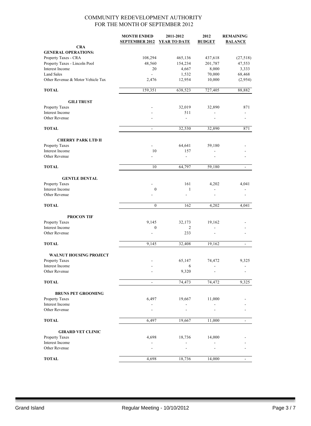|                                          | <b>MONTH ENDED</b><br><b>SEPTEMBER 2012</b> | 2011-2012<br><b>YEAR TO DATE</b> | 2012<br><b>BUDGET</b> | <b>REMAINING</b><br><b>BALANCE</b> |
|------------------------------------------|---------------------------------------------|----------------------------------|-----------------------|------------------------------------|
| <b>CRA</b><br><b>GENERAL OPERATIONS:</b> |                                             |                                  |                       |                                    |
| Property Taxes - CRA                     | 108,294                                     | 465,136                          | 437,618               | (27,518)                           |
| Property Taxes - Lincoln Pool            | 48,560                                      | 154,234                          | 201,787               | 47,553                             |
| Interest Income                          | 20                                          | 4,667                            | 8,000                 | 3,333                              |
| <b>Land Sales</b>                        |                                             | 1,532                            | 70,000                | 68,468                             |
| Other Revenue & Motor Vehicle Tax        | 2,476                                       | 12,954                           | 10,000                | (2,954)                            |
| <b>TOTAL</b>                             | 159,351                                     | 638,523                          | 727,405               | 88,882                             |
| <b>GILI TRUST</b>                        |                                             |                                  |                       |                                    |
| Property Taxes                           |                                             | 32,019                           | 32,890                | 871                                |
| Interest Income                          |                                             | 511                              |                       |                                    |
| Other Revenue                            |                                             | ÷,                               |                       |                                    |
| <b>TOTAL</b>                             | $\overline{\phantom{a}}$                    | 32,530                           | 32,890                | 871                                |
| <b>CHERRY PARK LTD II</b>                |                                             |                                  |                       |                                    |
| Property Taxes                           |                                             | 64,641                           | 59,180                |                                    |
| Interest Income                          | 10                                          | 157                              |                       |                                    |
| Other Revenue                            |                                             | ä,                               |                       |                                    |
| <b>TOTAL</b>                             | 10                                          | 64,797                           | 59,180                | $\blacksquare$                     |
| <b>GENTLE DENTAL</b>                     |                                             |                                  |                       |                                    |
| Property Taxes                           |                                             | 161                              | 4,202                 | 4,041                              |
| Interest Income                          | $\boldsymbol{0}$                            | $\mathbf{1}$                     |                       |                                    |
| Other Revenue                            |                                             |                                  |                       |                                    |
| <b>TOTAL</b>                             | $\boldsymbol{0}$                            | 162                              | 4,202                 | 4,041                              |
| <b>PROCON TIF</b>                        |                                             |                                  |                       |                                    |
| Property Taxes                           | 9,145                                       | 32,173                           | 19,162                |                                    |
| Interest Income                          | $\boldsymbol{0}$                            | 2                                |                       |                                    |
| Other Revenue                            |                                             | 233                              |                       |                                    |
| <b>TOTAL</b>                             | 9,145                                       | 32,408                           | 19,162                | $\overline{a}$                     |
| <b>WALNUT HOUSING PROJECT</b>            |                                             |                                  |                       |                                    |
| <b>Property Taxes</b>                    |                                             | 65,147                           | 74,472                | 9,325                              |
| Interest Income                          |                                             | 6                                |                       |                                    |
| Other Revenue                            |                                             | 9,320                            |                       |                                    |
| <b>TOTAL</b>                             | $\overline{\phantom{a}}$                    | 74,473                           | 74,472                | 9,325                              |
| <b>BRUNS PET GROOMING</b>                |                                             |                                  |                       |                                    |
| Property Taxes                           | 6,497                                       | 19,667                           | 11,000                |                                    |
| Interest Income                          |                                             |                                  |                       |                                    |
| Other Revenue                            |                                             |                                  |                       |                                    |
| <b>TOTAL</b>                             | 6,497                                       | 19,667                           | 11,000                | $\overline{a}$                     |
| <b>GIRARD VET CLINIC</b>                 |                                             |                                  |                       |                                    |
| Property Taxes                           | 4,698                                       | 18,736                           | 14,000                |                                    |
| Interest Income                          |                                             |                                  |                       |                                    |
| Other Revenue                            |                                             |                                  |                       |                                    |
| <b>TOTAL</b>                             | 4,698                                       | 18,736                           | 14,000                | $\overline{\phantom{a}}$           |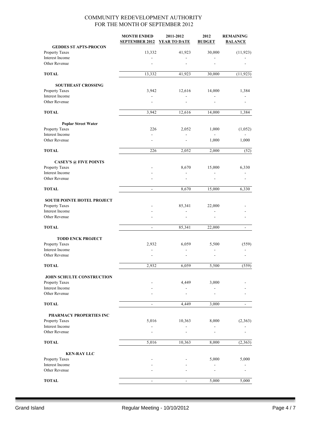|                                             | <b>MONTH ENDED</b><br><b>SEPTEMBER 2012</b> | 2011-2012<br><b>YEAR TO DATE</b> | 2012<br><b>BUDGET</b> | <b>REMAINING</b><br><b>BALANCE</b> |
|---------------------------------------------|---------------------------------------------|----------------------------------|-----------------------|------------------------------------|
| <b>GEDDES ST APTS-PROCON</b>                |                                             |                                  |                       |                                    |
| Property Taxes                              | 13,332                                      | 41,923                           | 30,000                | (11, 923)                          |
| Interest Income<br>Other Revenue            |                                             |                                  |                       |                                    |
|                                             |                                             |                                  |                       |                                    |
| <b>TOTAL</b>                                | 13,332                                      | 41,923                           | 30,000                | (11, 923)                          |
| <b>SOUTHEAST CROSSING</b>                   |                                             |                                  |                       |                                    |
| Property Taxes                              | 3,942                                       | 12,616                           | 14,000                | 1,384                              |
| Interest Income                             | $\blacksquare$                              |                                  |                       |                                    |
| Other Revenue                               | $\overline{a}$                              |                                  |                       |                                    |
| <b>TOTAL</b>                                | 3,942                                       | 12,616                           | 14,000                | 1,384                              |
| <b>Poplar Street Water</b>                  |                                             |                                  |                       |                                    |
| Property Taxes                              | 226                                         | 2,052                            | 1,000                 | (1,052)                            |
| Interest Income                             |                                             |                                  |                       |                                    |
| Other Revenue                               |                                             |                                  | 1,000                 | 1,000                              |
| <b>TOTAL</b>                                | 226                                         | 2,052                            | 2,000                 | (52)                               |
| <b>CASEY'S @ FIVE POINTS</b>                |                                             |                                  |                       |                                    |
| Property Taxes                              |                                             | 8,670                            | 15,000                | 6,330                              |
| Interest Income                             |                                             |                                  |                       |                                    |
| Other Revenue                               |                                             |                                  |                       |                                    |
| <b>TOTAL</b>                                | $\overline{\phantom{a}}$                    | 8,670                            | 15,000                | 6,330                              |
| SOUTH POINTE HOTEL PROJECT                  |                                             |                                  |                       |                                    |
| Property Taxes                              |                                             | 85,341                           | 22,000                |                                    |
| Interest Income                             |                                             | ÷,                               |                       |                                    |
| Other Revenue                               |                                             |                                  |                       |                                    |
| <b>TOTAL</b>                                | $\overline{\phantom{a}}$                    | 85,341                           | 22,000                | ÷,                                 |
| <b>TODD ENCK PROJECT</b>                    |                                             |                                  |                       |                                    |
| Property Taxes                              | 2,932                                       | 6,059                            | 5,500                 | (559)                              |
| Interest Income                             | $\sim$                                      |                                  | $\overline{a}$        |                                    |
| Other Revenue                               |                                             |                                  |                       |                                    |
| <b>TOTAL</b>                                | 2,932                                       | 6,059                            | 5,500                 | (559)                              |
|                                             |                                             |                                  |                       |                                    |
| JOHN SCHULTE CONSTRUCTION<br>Property Taxes |                                             | 4,449                            | 3,000                 |                                    |
| Interest Income                             |                                             |                                  |                       |                                    |
| Other Revenue                               |                                             |                                  |                       |                                    |
| <b>TOTAL</b>                                |                                             | 4,449                            | 3,000                 |                                    |
| PHARMACY PROPERTIES INC                     |                                             |                                  |                       |                                    |
| Property Taxes                              | 5,016                                       | 10,363                           | 8,000                 | (2,363)                            |
| Interest Income                             |                                             |                                  |                       |                                    |
| Other Revenue                               |                                             |                                  |                       |                                    |
| <b>TOTAL</b>                                | 5,016                                       | 10,363                           | 8,000                 | (2,363)                            |
| <b>KEN-RAY LLC</b>                          |                                             |                                  |                       |                                    |
| Property Taxes                              |                                             |                                  | 5,000                 | 5,000                              |
| Interest Income                             |                                             |                                  |                       |                                    |
| Other Revenue                               |                                             |                                  |                       |                                    |
| <b>TOTAL</b>                                | $\blacksquare$                              | $\blacksquare$                   | 5,000                 | 5,000                              |
|                                             |                                             |                                  |                       |                                    |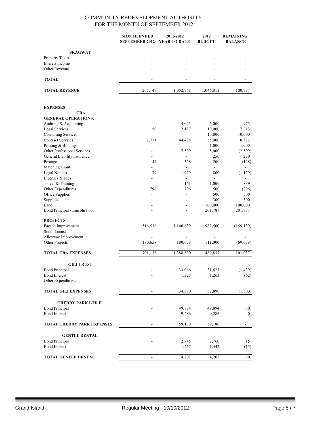|                                                    | <b>MONTH ENDED</b>           | 2011-2012                | 2012                     | <b>REMAINING</b>         |
|----------------------------------------------------|------------------------------|--------------------------|--------------------------|--------------------------|
|                                                    | <b>SEPTEMBER 2012</b>        | <b>YEAR TO DATE</b>      | <b>BUDGET</b>            | <b>BALANCE</b>           |
| <b>SKAGWAY</b>                                     |                              |                          |                          |                          |
| Property Taxes                                     |                              |                          |                          |                          |
| Interest Income                                    |                              |                          |                          |                          |
| Other Revenue                                      |                              | ٠                        |                          |                          |
| <b>TOTAL</b>                                       | $\overline{a}$               | $\overline{\phantom{a}}$ | $\overline{\phantom{a}}$ | $\overline{\phantom{a}}$ |
| <b>TOTAL REVENUE</b>                               | 205,149                      | 1,052,768                | 1,046,811                | 100,937                  |
| <b>EXPENSES</b>                                    |                              |                          |                          |                          |
| <b>CRA</b>                                         |                              |                          |                          |                          |
| <b>GENERAL OPERATIONS:</b>                         |                              |                          |                          |                          |
| Auditing & Accounting                              | $\blacksquare$               | 4,025                    | 5,000                    | 975                      |
| <b>Legal Services</b>                              | 150                          | 2,187                    | 10,000                   | 7,813                    |
| <b>Consulting Services</b>                         | $\mathbf{r}$                 | ä,                       | 10,000                   | 10,000                   |
| <b>Contract Services</b>                           | 2,771                        | 44,428                   | 55,000                   | 10,572                   |
| Printing & Binding<br>Other Professional Services  | -<br>۰                       | $\overline{a}$<br>7,599  | 1,000<br>5,000           | 1,000<br>(2, 599)        |
| General Liability Insurance                        | $\overline{a}$               | $\overline{a}$           | 250                      | 250                      |
| Postage                                            | 47                           | 328                      | 200                      | (128)                    |
| Matching Grant                                     |                              | ÷                        | $\overline{\phantom{a}}$ |                          |
| <b>Legal Notices</b>                               | 179                          | 1,979                    | 800                      | (1, 179)                 |
| Licenses & Fees                                    | $\frac{1}{2}$                | L.                       |                          |                          |
| Travel & Training                                  |                              | 161                      | 1,000                    | 839                      |
| Other Expenditures                                 | 796                          | 796                      | 500                      | (296)                    |
| Office Supplies                                    | ÷                            | ÷,                       | 500                      | 500                      |
| Supplies                                           | $\overline{a}$               | ÷,                       | 300                      | 300                      |
| Land<br>Bond Principal - Lincoln Pool              |                              |                          | 100,000<br>201,787       | 100,000<br>201,787       |
| <b>PROJECTS</b>                                    |                              |                          |                          |                          |
| Façade Improvement                                 | 516,536                      | 1,146,639                | 987,500                  | (159, 139)               |
| South Locust                                       |                              |                          |                          |                          |
| Alleyway Improvement                               |                              |                          |                          |                          |
| Other Projects                                     | 180,658                      | 180,658                  | 111,000                  | (69, 658)                |
| <b>TOTAL CRA EXPENSES</b>                          | 701,138                      | 1,388,800                | 1,489,837                | 101,037                  |
| <b>GILI TRUST</b>                                  |                              |                          |                          |                          |
| <b>Bond Principal</b>                              |                              | 33,066                   | 31,627                   | (1, 439)                 |
| <b>Bond Interest</b>                               |                              | 1,325                    | 1,263                    | (62)                     |
| Other Expenditures                                 |                              | ۰                        | $\overline{\phantom{a}}$ |                          |
| <b>TOTAL GILI EXPENSES</b>                         | $\overline{\phantom{a}}$     | 34,390                   | 32,890                   | (1,500)                  |
|                                                    |                              |                          |                          |                          |
| <b>CHERRY PARK LTD II</b><br><b>Bond Principal</b> |                              | 49,894                   |                          |                          |
| <b>Bond Interest</b>                               |                              | 9,286                    | 49,894<br>9,286          | (0)<br>$\overline{0}$    |
|                                                    |                              |                          |                          |                          |
| <b>TOTAL CHERRY PARK EXPENSES</b>                  | $\qquad \qquad \blacksquare$ | 59,180                   | 59,180                   | ۳                        |
| <b>GENTLE DENTAL</b>                               |                              |                          |                          |                          |
| <b>Bond Principal</b>                              |                              | 2,745                    | 2,760                    | 15                       |
| <b>Bond Interest</b>                               |                              | 1,457                    | 1,442                    | (15)                     |
| TOTAL GENTLE DENTAL                                | $\overline{a}$               | 4,202                    | 4,202                    | (0)                      |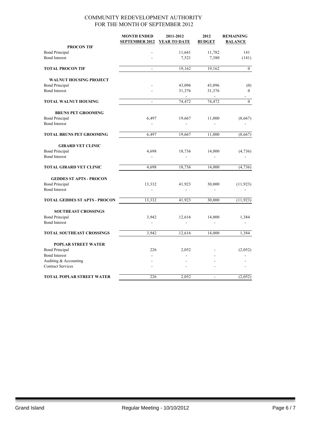|                                      | <b>MONTH ENDED</b><br><b>SEPTEMBER 2012</b> | 2011-2012<br><b>YEAR TO DATE</b> | 2012<br><b>BUDGET</b>    | <b>REMAINING</b><br><b>BALANCE</b> |
|--------------------------------------|---------------------------------------------|----------------------------------|--------------------------|------------------------------------|
| <b>PROCON TIF</b>                    |                                             |                                  |                          |                                    |
| <b>Bond Principal</b>                |                                             | 11,641                           | 11,782                   | 141                                |
| <b>Bond Interest</b>                 |                                             | 7,521                            | 7,380                    | (141)                              |
| <b>TOTAL PROCON TIF</b>              |                                             | 19,162                           | 19,162                   | $\boldsymbol{0}$                   |
| <b>WALNUT HOUSING PROJECT</b>        |                                             |                                  |                          |                                    |
| <b>Bond Principal</b>                |                                             | 43,096                           | 43,096                   | (0)                                |
| <b>Bond Interest</b>                 |                                             | 31,376                           | 31,376<br>$\overline{a}$ | $\boldsymbol{0}$                   |
| <b>TOTAL WALNUT HOUSING</b>          |                                             | 74,472                           | 74,472                   | $\boldsymbol{0}$                   |
| <b>BRUNS PET GROOMING</b>            |                                             |                                  |                          |                                    |
| <b>Bond Principal</b>                | 6,497                                       | 19,667                           | 11,000                   | (8,667)                            |
| <b>Bond Interest</b>                 |                                             | $\frac{1}{2}$                    | $\blacksquare$           |                                    |
| TOTAL BRUNS PET GROOMING             | 6,497                                       | 19,667                           | 11,000                   | (8,667)                            |
| <b>GIRARD VET CLINIC</b>             |                                             |                                  |                          |                                    |
| <b>Bond Principal</b>                | 4,698                                       | 18,736                           | 14,000                   | (4,736)                            |
| <b>Bond Interest</b>                 |                                             | $\overline{a}$                   |                          |                                    |
| <b>TOTAL GIRARD VET CLINIC</b>       | 4,698                                       | 18,736                           | 14,000                   | (4, 736)                           |
| <b>GEDDES ST APTS - PROCON</b>       |                                             |                                  |                          |                                    |
| <b>Bond Principal</b>                | 13,332                                      | 41,923                           | 30,000                   | (11, 923)                          |
| <b>Bond Interest</b>                 | $\frac{1}{2}$                               |                                  |                          |                                    |
| <b>TOTAL GEDDES ST APTS - PROCON</b> | 13,332                                      | 41,923                           | 30,000                   | (11, 923)                          |
| <b>SOUTHEAST CROSSINGS</b>           |                                             |                                  |                          |                                    |
| <b>Bond Principal</b>                | 3,942                                       | 12,616                           | 14,000                   | 1,384                              |
| <b>Bond Interest</b>                 |                                             |                                  |                          |                                    |
| TOTAL SOUTHEAST CROSSINGS            | 3,942                                       | 12,616                           | 14,000                   | 1,384                              |
| <b>POPLAR STREET WATER</b>           |                                             |                                  |                          |                                    |
| <b>Bond Principal</b>                | 226                                         | 2,052                            |                          | (2,052)                            |
| <b>Bond Interest</b>                 |                                             |                                  |                          |                                    |
| Auditing & Accounting                |                                             |                                  |                          |                                    |
| <b>Contract Services</b>             |                                             |                                  |                          |                                    |
| <b>TOTAL POPLAR STREET WATER</b>     | 226                                         | 2,052                            | ä,                       | (2,052)                            |